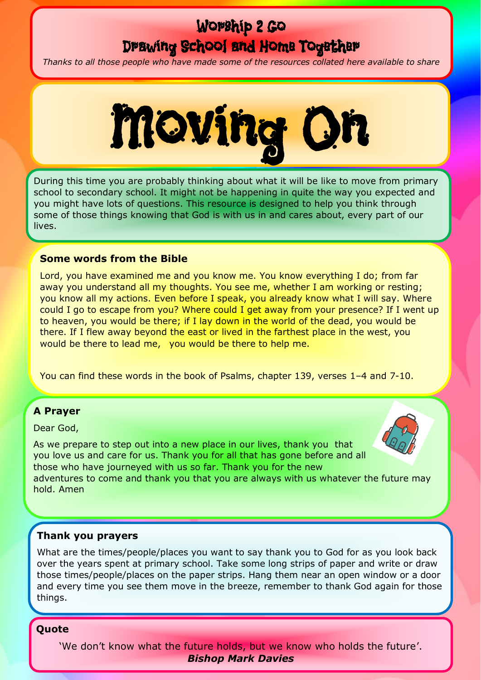# Worship 2 Go

## Drawing School and Home Together

*Thanks to all those people who have made some of the resources collated here available to share*



During this time you are probably thinking about what it will be like to move from primary school to secondary school. It might not be happening in quite the way you expected and you might have lots of questions. This resource is designed to help you think through some of those things knowing that God is with us in and cares about, every part of our lives.

#### **Some words from the Bible**

Lord, you have examined me and you know me. You know everything I do; from far away you understand all my thoughts. You see me, whether I am working or resting; you know all my actions. Even before I speak, you already know what I will say. Where could I go to escape from you? Where could I get away from your presence? If I went up to heaven, you would be there; if I lay down in the world of the dead, you would be there. If I flew away beyond the east or lived in the farthest place in the west, you would be there to lead me, you would be there to help me.

You can find these words in the book of Psalms, chapter 139, verses 1–4 and 7-10.

### **A Prayer**

Dear God,

As we prepare to step out into a new place in our lives, thank you that you love us and care for us. Thank you for all that has gone before and all those who have journeyed with us so far. Thank you for the new adventures to come and thank you that you are always with us whatever the future may hold. Amen

#### **Thank you prayers**

What are the times/people/places you want to say thank you to God for as you look back over the years spent at primary school. Take some long strips of paper and write or draw those times/people/places on the paper strips. Hang them near an open window or a door and every time you see them move in the breeze, remember to thank God again for those things.

#### **Quote**

'We don't know what the future holds, but we know who holds the future'. *Bishop Mark Davies*